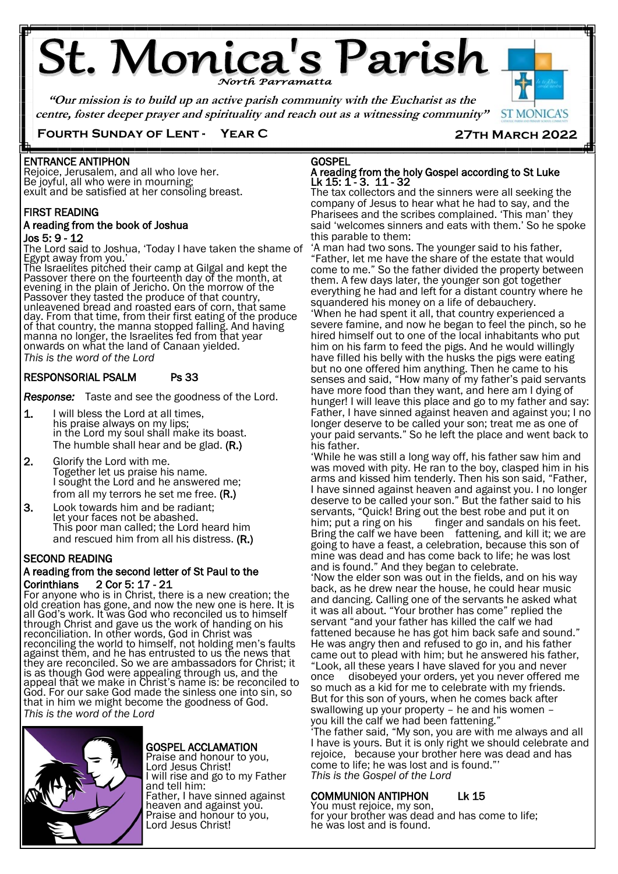# **St. Monica's Parish**

**"Our mission is to build up an active parish community with the Eucharist as the centre, foster deeper prayer and spirituality and reach out as a witnessing community"**

**Fourth Sunday of Lent - Year C 27th March 2022**

#### ENTRANCE ANTIPHON

Rejoice, Jerusalem, and all who love her. Be joyful, all who were in mourning; exult and be satisfied at her consoling breast.

#### FIRST READING

#### A reading from the book of Joshua Jos 5: 9 - 12

The Lord said to Joshua, 'Today I have taken the shame of Egypt away from you.'

The Israelites pitched their camp at Gilgal and kept the Passover there on the fourteenth day of the month, at evening in the plain of Jericho. On the morrow of the Passover they tasted the produce of that country, unleavened bread and roasted ears of corn, that same day. From that time, from their first eating of the produce of that country, the manna stopped falling. And having manna no longer, the Israelites fed from that year onwards on what the land of Canaan yielded.

This is the word of the Lord

## RESPONSORIAL PSALM Ps 33

*Response:* Taste and see the goodness of the Lord.

- 1. I will bless the Lord at all times. his praise always on my lips; in the Lord my soul shall make its boast. The humble shall hear and be glad. (R.)
- 2. Glorify the Lord with me. Together let us praise his name. I sought the Lord and he answered me; from all my terrors he set me free. (R.)
- 3. Look towards him and be radiant; let your faces not be abashed. This poor man called; the Lord heard him and rescued him from all his distress. (R.)

#### SECOND READING

#### A reading from the second letter of St Paul to the Corinthians 2 Cor 5: 17 - 21

For anyone who is in Christ, there is a new creation; the old creation has gone, and now the new one is here. It is all God's work. It was God who reconciled us to himself through Christ and gave us the work of handing on his reconciliation. In other words, God in Christ was reconciling the world to himself, not holding men's faults against them, and he has entrusted to us the news that they are reconciled. So we are ambassadors for Christ; it is as though God were appealing through us, and the appeal that we make in Christ's name is: be reconciled to God. For our sake God made the sinless one into sin, so that in him we might become the goodness of God. *This is the word of the Lord*



#### GOSPEL ACCLAMATION

Praise and honour to you, Lord Jesus Christ! I will rise and go to my Father and tell him: Father, I have sinned against heaven and against you. Praise and honour to you, Lord Jesus Christ!

**ST MONICA'S** 

#### **GOSPEL** A reading from the holy Gospel according to St Luke Lk 15: 1 - 3. 11 - 32

The tax collectors and the sinners were all seeking the company of Jesus to hear what he had to say, and the Pharisees and the scribes complained. 'This man' they said 'welcomes sinners and eats with them.' So he spoke this parable to them:

'A man had two sons. The younger said to his father, "Father, let me have the share of the estate that would come to me." So the father divided the property between them. A few days later, the younger son got together everything he had and left for a distant country where he squandered his money on a life of debauchery. 'When he had spent it all, that country experienced a severe famine, and now he began to feel the pinch, so he hired himself out to one of the local inhabitants who put him on his farm to feed the pigs. And he would willingly have filled his belly with the husks the pigs were eating but no one offered him anything. Then he came to his senses and said, "How many of my father's paid servants have more food than they want, and here am I dying of hunger! I will leave this place and go to my father and say: Father, I have sinned against heaven and against you; I no longer deserve to be called your son; treat me as one of your paid servants." So he left the place and went back to his father.

'While he was still a long way off, his father saw him and was moved with pity. He ran to the boy, clasped him in his arms and kissed him tenderly. Then his son said, "Father, I have sinned against heaven and against you. I no longer deserve to be called your son." But the father said to his servants, "Quick! Bring out the best robe and put it on him; put a ring on his  $\overline{\phantom{a}}$  finger and sandals on his feet. Bring the calf we have been fattening, and kill it; we are going to have a feast, a celebration, because this son of mine was dead and has come back to life; he was lost and is found." And they began to celebrate.

'Now the elder son was out in the fields, and on his way back, as he drew near the house, he could hear music and dancing. Calling one of the servants he asked what it was all about. "Your brother has come" replied the servant "and your father has killed the calf we had fattened because he has got him back safe and sound." He was angry then and refused to go in, and his father came out to plead with him; but he answered his father,

"Look, all these years I have slaved for you and never once disobeyed your orders, yet you never offered me so much as a kid for me to celebrate with my friends. But for this son of yours, when he comes back after swallowing up your property – he and his women – you kill the calf we had been fattening."

'The father said, "My son, you are with me always and all I have is yours. But it is only right we should celebrate and rejoice, because your brother here was dead and has come to life; he was lost and is found."' *This is the Gospel of the Lord*

#### COMMUNION ANTIPHON Lk 15

You must rejoice, my son, for your brother was dead and has come to life; he was lost and is found.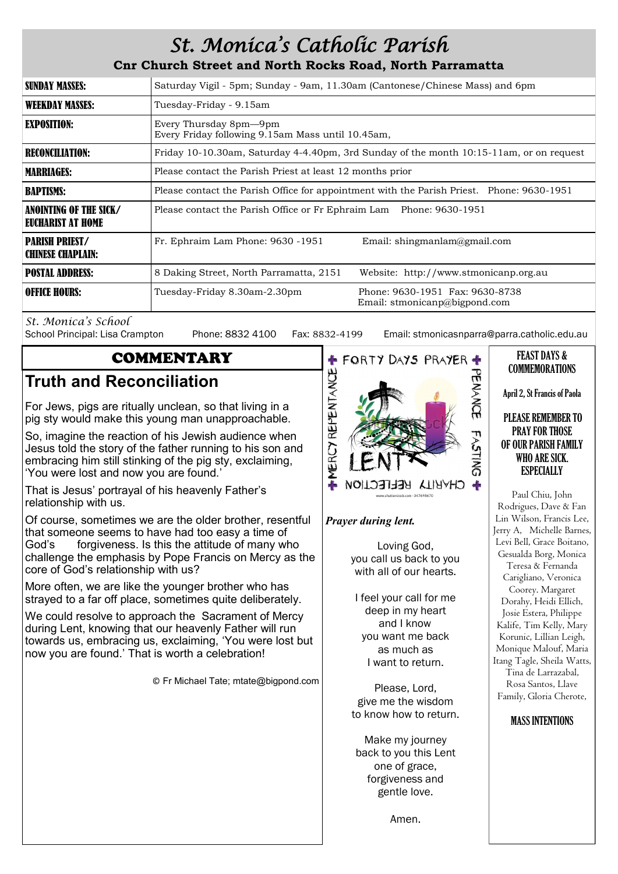## *St. Monica's Catholic Parish*

#### **Cnr Church Street and North Rocks Road, North Parramatta**

| SUNDAY MASSES:                                    | Saturday Vigil - 5pm; Sunday - 9am, 11.30am (Cantonese/Chinese Mass) and 6pm              |                                                                  |  |
|---------------------------------------------------|-------------------------------------------------------------------------------------------|------------------------------------------------------------------|--|
| WEEKDAY MASSES:                                   | Tuesday-Friday - 9.15am                                                                   |                                                                  |  |
| <b>EXPOSITION:</b>                                | Every Thursday 8pm—9pm<br>Every Friday following 9.15am Mass until 10.45am,               |                                                                  |  |
| <b>RECONCILIATION:</b>                            | Friday 10-10.30am, Saturday 4-4.40pm, 3rd Sunday of the month 10:15-11am, or on request   |                                                                  |  |
| <b>MARRIAGES:</b>                                 | Please contact the Parish Priest at least 12 months prior                                 |                                                                  |  |
| <b>BAPTISMS:</b>                                  | Please contact the Parish Office for appointment with the Parish Priest. Phone: 9630-1951 |                                                                  |  |
| ANOINTING OF THE SICK/<br>EUCHARIST AT HOME       | Please contact the Parish Office or Fr Ephraim Lam Phone: 9630-1951                       |                                                                  |  |
| <b>PARISH PRIEST/</b><br><b>CHINESE CHAPLAIN:</b> | Fr. Ephraim Lam Phone: 9630 -1951                                                         | Email: shingmanlam@gmail.com                                     |  |
| <b>POSTAL ADDRESS:</b>                            | 8 Daking Street, North Parramatta, 2151                                                   | Website: http://www.stmonicanp.org.au                            |  |
| <b>OFFICE HOURS:</b>                              | Tuesday-Friday 8.30am-2.30pm                                                              | Phone: 9630-1951 Fax: 9630-8738<br>Email: stmonicanp@bigpond.com |  |

*St. Monica's School*

Phone: 8832 4100 Fax: 8832-4199 Email: stmonicasnparra@parra.catholic.edu.au

### **Truth and Reconciliation**

For Jews, pigs are ritually unclean, so that living in a pig sty would make this young man unapproachable.

So, imagine the reaction of his Jewish audience when Jesus told the story of the father running to his son and embracing him still stinking of the pig sty, exclaiming, 'You were lost and now you are found.'

That is Jesus' portrayal of his heavenly Father's relationship with us.

Of course, sometimes we are the older brother, resentful that someone seems to have had too easy a time of God's forgiveness. Is this the attitude of many who challenge the emphasis by Pope Francis on Mercy as the core of God's relationship with us?

More often, we are like the younger brother who has strayed to a far off place, sometimes quite deliberately.

We could resolve to approach the Sacrament of Mercy during Lent, knowing that our heavenly Father will run towards us, embracing us, exclaiming, 'You were lost but now you are found.' That is worth a celebration!

© Fr Michael Tate; mtate@bigpond.com



#### *Prayer during lent.*

Loving God, you call us back to you with all of our hearts.

I feel your call for me deep in my heart and I know you want me back as much as I want to return.

Please, Lord, give me the wisdom to know how to return.

Make my journey back to you this Lent one of grace, forgiveness and gentle love.

Amen.

# COMMEMORATIONS

April 2, St Francis of Paola

#### PLEASE REMEMBER TO PRAY FOR THOSE OF OUR PARISH FAMILY WHO ARE SICK. **ESPECIALLY**

Paul Chiu, John Rodrigues, Dave & Fan Lin Wilson, Francis Lee, Jerry A, Michelle Barnes, Levi Bell, Grace Boitano, Gesualda Borg, Monica Teresa & Fernanda Carigliano, Veronica Coorey. Margaret Dorahy, Heidi Ellich, Josie Estera, Philippe Kalife, Tim Kelly, Mary Korunic, Lillian Leigh, Monique Malouf, Maria Itang Tagle, Sheila Watts, Tina de Larrazabal, Rosa Santos, Llave Family, Gloria Cherote,

#### MASS INTENTIONS